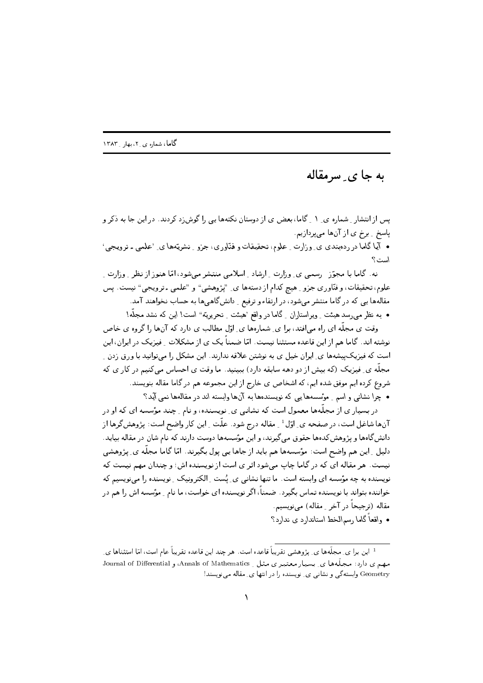## به جا ی ِ سرمقاله

یس از انتشار ۱ شماره ی ۱ ر گاما، بعض ی از دوستان نکتهها یی را گوش;د کردند. در این جا به ذکر و یاسخ ِ برخ ی از آنها میپردازیم.

• آیا گاما در ردهبندی ی ِ وزارت ِ علوم، تحقیقات و فنّاوری، جزو ِ نشریّهها ی ِ 'علمی ـ ترویجی' است؟

نه، گاما با مجوّز - رسمی ی ِ وزارت ِ ارشاد ِ اسلامی منتشر می شود، امّا هنوز از نظر ِ وزارت ِ علوم، تحقیقات، و فنّاوری جزو ِ هیچ کدام از دستهها ی ِ "پژوهشی" و "علمی ـ ترویجی" نیست. پس مقالهها یی که در گاما منتشر می شود، در ارتقاء و ترفیع به دانش گاهی ها به حساب نخواهند آمد. • به نظر می رسد هیئت ِ ویراستاران ِ گاما در واقع 'هیئت ِ تحریریّه" است! این که نشد مجلّه!

وقت ی مجلَّه ای راه می|فتد، برا ی ِ شمارهها ی ِ اوّل مطالب ی دارد که آنها را گروه ی خاص نوشته اند. گاما هم از این قاعده مستثنا نیست. امّا ضمناً یک ی از مشکلات ـِ فیزیک در ایران، این است که فیزیک پیشهها ی ِ ایران خیل ی به نوشتن علاقه ندارند. این مشکل را می توانید با ورق زدن ِ مجلَّه ی ِ فیزیک (که بیش از دو دهه سابقه دارد) ببینید. ما وقت ی احساس میکنیم در کار ی که شروع کرده ایم موفق شده ایم، که اشخاص ی خارج از این مجموعه هم در گاما مقاله بنویسند. • چرا نشانی و اسم ِ مؤسسهها یی که نویسندهها به آنها وابسته اند در مقالهها نمی آید؟

در بسیار ی از مجلَّهها معمول است که نشانی ی ِ نویسنده، و نام ِ چند مؤسسه ای که او در آنها شاغل است، در صفحه ی ِ اوّل <sup>1</sup> ِ مقاله درج شود . علّت ِ این کار واضح است: پژوهشگرها از دانش گاهها و پژوهش کدهها حقوق می گیرند، و این مؤسسهها دوست دارند که نام شان در مقاله بیاید. دلیل ِ این هم واضح است: مؤسسهها هم باید از جاها یی پول بگیرند. امّا گاما مجلّه ی ِ پژوهشی نیست. هر مقاله ای که در گاما چاپ میشود اثر ی است از نویسنده اش؛ و چندان مهم نیست که نویسنده به چه مؤسسه ای وابسته است. ما تنها نشانبی ی ِ یُست ِ الکترونیک ِ نویسنده را می نویسیم که خواننده بتواند با نویسنده تماس بگیرد . ضمناً، اگر نویسنده ای خواست، ما نام ِ مؤسسه اش را هم در مقاله (ترجیحاً در آخر ِ مقاله) می نویسیم.

• واقعاً گاما رسم\لخط استاندارد ی ندارد؟

<sup>&</sup>lt;sup>1</sup> این برا ی ِ مجلّهها ی ِ پژوهشی تقریباً قاعده است. هر چند این قاعده تقریباً عام است، امّا استثناها ی ِ مهم ی دارد: مجلَّهها ی ِ بسیار معتبر ی مثل ِ Annals of Mathematics، و Journal of Differential Geometry وابسته گی و نشانی ی ِ نویسنده را در انتها ی ِ مقاله می نویسند!